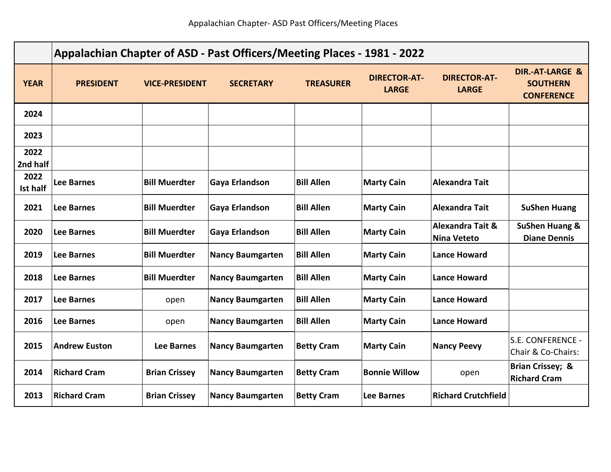|                         | Appalachian Chapter of ASD - Past Officers/Meeting Places - 1981 - 2022 |                       |                         |                   |                                     |                                                   |                                                                    |  |
|-------------------------|-------------------------------------------------------------------------|-----------------------|-------------------------|-------------------|-------------------------------------|---------------------------------------------------|--------------------------------------------------------------------|--|
| <b>YEAR</b>             | <b>PRESIDENT</b>                                                        | <b>VICE-PRESIDENT</b> | <b>SECRETARY</b>        | <b>TREASURER</b>  | <b>DIRECTOR-AT-</b><br><b>LARGE</b> | <b>DIRECTOR-AT-</b><br><b>LARGE</b>               | <b>DIR.-AT-LARGE &amp;</b><br><b>SOUTHERN</b><br><b>CONFERENCE</b> |  |
| 2024                    |                                                                         |                       |                         |                   |                                     |                                                   |                                                                    |  |
| 2023                    |                                                                         |                       |                         |                   |                                     |                                                   |                                                                    |  |
| 2022<br>2nd half        |                                                                         |                       |                         |                   |                                     |                                                   |                                                                    |  |
| 2022<br><b>Ist half</b> | <b>Lee Barnes</b>                                                       | <b>Bill Muerdter</b>  | Gaya Erlandson          | <b>Bill Allen</b> | <b>Marty Cain</b>                   | <b>Alexandra Tait</b>                             |                                                                    |  |
| 2021                    | <b>Lee Barnes</b>                                                       | <b>Bill Muerdter</b>  | Gaya Erlandson          | <b>Bill Allen</b> | <b>Marty Cain</b>                   | <b>Alexandra Tait</b>                             | <b>SuShen Huang</b>                                                |  |
| 2020                    | <b>Lee Barnes</b>                                                       | <b>Bill Muerdter</b>  | Gaya Erlandson          | <b>Bill Allen</b> | <b>Marty Cain</b>                   | <b>Alexandra Tait &amp;</b><br><b>Nina Veteto</b> | <b>SuShen Huang &amp;</b><br><b>Diane Dennis</b>                   |  |
| 2019                    | <b>Lee Barnes</b>                                                       | <b>Bill Muerdter</b>  | <b>Nancy Baumgarten</b> | <b>Bill Allen</b> | <b>Marty Cain</b>                   | <b>Lance Howard</b>                               |                                                                    |  |
| 2018                    | <b>Lee Barnes</b>                                                       | <b>Bill Muerdter</b>  | <b>Nancy Baumgarten</b> | <b>Bill Allen</b> | <b>Marty Cain</b>                   | <b>Lance Howard</b>                               |                                                                    |  |
| 2017                    | <b>Lee Barnes</b>                                                       | open                  | <b>Nancy Baumgarten</b> | <b>Bill Allen</b> | <b>Marty Cain</b>                   | <b>Lance Howard</b>                               |                                                                    |  |
| 2016                    | <b>Lee Barnes</b>                                                       | open                  | <b>Nancy Baumgarten</b> | <b>Bill Allen</b> | <b>Marty Cain</b>                   | <b>Lance Howard</b>                               |                                                                    |  |
| 2015                    | <b>Andrew Euston</b>                                                    | <b>Lee Barnes</b>     | <b>Nancy Baumgarten</b> | <b>Betty Cram</b> | <b>Marty Cain</b>                   | <b>Nancy Peevy</b>                                | S.E. CONFERENCE -<br>Chair & Co-Chairs:                            |  |
| 2014                    | <b>Richard Cram</b>                                                     | <b>Brian Crissey</b>  | <b>Nancy Baumgarten</b> | <b>Betty Cram</b> | <b>Bonnie Willow</b>                | open                                              | Brian Crissey; &<br><b>Richard Cram</b>                            |  |
| 2013                    | <b>Richard Cram</b>                                                     | <b>Brian Crissey</b>  | <b>Nancy Baumgarten</b> | <b>Betty Cram</b> | Lee Barnes                          | <b>Richard Crutchfield</b>                        |                                                                    |  |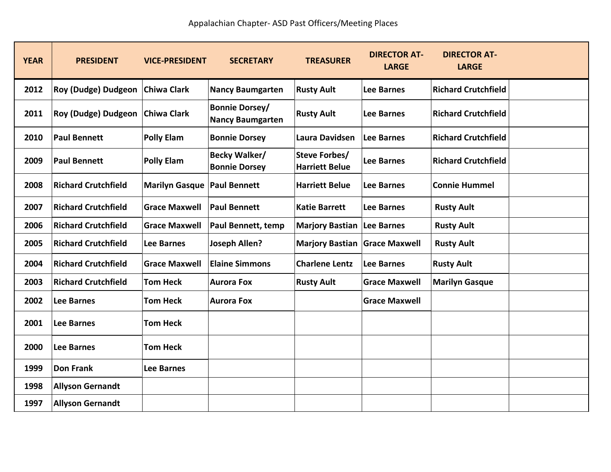| <b>YEAR</b> | <b>PRESIDENT</b>           | <b>VICE-PRESIDENT</b> | <b>SECRETARY</b>                                 | <b>TREASURER</b>                       | <b>DIRECTOR AT-</b><br><b>LARGE</b> | <b>DIRECTOR AT-</b><br><b>LARGE</b> |
|-------------|----------------------------|-----------------------|--------------------------------------------------|----------------------------------------|-------------------------------------|-------------------------------------|
| 2012        | Roy (Dudge) Dudgeon        | <b>Chiwa Clark</b>    | <b>Nancy Baumgarten</b>                          | <b>Rusty Ault</b>                      | <b>Lee Barnes</b>                   | <b>Richard Crutchfield</b>          |
| 2011        | Roy (Dudge) Dudgeon        | <b>Chiwa Clark</b>    | <b>Bonnie Dorsey/</b><br><b>Nancy Baumgarten</b> | <b>Rusty Ault</b>                      | <b>Lee Barnes</b>                   | <b>Richard Crutchfield</b>          |
| 2010        | <b>Paul Bennett</b>        | <b>Polly Elam</b>     | <b>Bonnie Dorsey</b>                             | Laura Davidsen                         | <b>Lee Barnes</b>                   | <b>Richard Crutchfield</b>          |
| 2009        | <b>Paul Bennett</b>        | <b>Polly Elam</b>     | <b>Becky Walker/</b><br><b>Bonnie Dorsey</b>     | Steve Forbes/<br><b>Harriett Belue</b> | <b>Lee Barnes</b>                   | <b>Richard Crutchfield</b>          |
| 2008        | <b>Richard Crutchfield</b> | <b>Marilyn Gasque</b> | <b>Paul Bennett</b>                              | <b>Harriett Belue</b>                  | <b>Lee Barnes</b>                   | <b>Connie Hummel</b>                |
| 2007        | <b>Richard Crutchfield</b> | <b>Grace Maxwell</b>  | <b>Paul Bennett</b>                              | <b>Katie Barrett</b>                   | <b>Lee Barnes</b>                   | <b>Rusty Ault</b>                   |
| 2006        | <b>Richard Crutchfield</b> | <b>Grace Maxwell</b>  | <b>Paul Bennett, temp</b>                        | <b>Marjory Bastian</b>                 | <b>Lee Barnes</b>                   | <b>Rusty Ault</b>                   |
| 2005        | <b>Richard Crutchfield</b> | Lee Barnes            | Joseph Allen?                                    | Marjory Bastian Grace Maxwell          |                                     | <b>Rusty Ault</b>                   |
| 2004        | <b>Richard Crutchfield</b> | <b>Grace Maxwell</b>  | <b>Elaine Simmons</b>                            | <b>Charlene Lentz</b>                  | <b>Lee Barnes</b>                   | <b>Rusty Ault</b>                   |
| 2003        | <b>Richard Crutchfield</b> | <b>Tom Heck</b>       | <b>Aurora Fox</b>                                | <b>Rusty Ault</b>                      | <b>Grace Maxwell</b>                | <b>Marilyn Gasque</b>               |
| 2002        | <b>Lee Barnes</b>          | <b>Tom Heck</b>       | <b>Aurora Fox</b>                                |                                        | <b>Grace Maxwell</b>                |                                     |
| 2001        | <b>Lee Barnes</b>          | <b>Tom Heck</b>       |                                                  |                                        |                                     |                                     |
| 2000        | <b>Lee Barnes</b>          | <b>Tom Heck</b>       |                                                  |                                        |                                     |                                     |
| 1999        | <b>Don Frank</b>           | <b>Lee Barnes</b>     |                                                  |                                        |                                     |                                     |
| 1998        | <b>Allyson Gernandt</b>    |                       |                                                  |                                        |                                     |                                     |
| 1997        | <b>Allyson Gernandt</b>    |                       |                                                  |                                        |                                     |                                     |